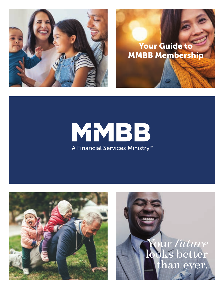

### Your Guide to MMBB Membership

## MMBB A Financial Services Ministry<sup>™</sup>



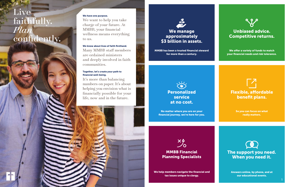

approximately \$3 billion in assets.

> We offer a variety of funds to match your financial needs and risk tolerance.

MMBB has been a trusted financial steward for more than a century.



## Flexible, affordable benefit plans.

So you can focus on what really matters.



No matter where you are on your financial journey, we're here for you.



### Unbiased advice. Competitive returns.

The support you need. When you need it.

Answers online, by phone, and at our educational events.

### MMBB Financial Planning Specialists

# Live faithfully.<br>Plan confidently.

We help members navigate the financial and tax issues unique to clergy.





We want to help you take charge of your future. At MMBB, your financial wellness means everything to us.

We know about lives of faith firsthand. Many MMBB staff members are ordained ministers and deeply involved in faith communities.

#### Together, let's create your path to financial well-being.

It's more than balancing numbers on paper. It's about helping you envision what is financially possible for your life, now and in the future.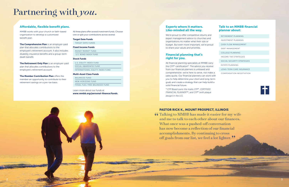## Partnering with *you*.

#### Experts where it matters. Like-minded all the way.

We're proud to offer competitive returns and expert management advice to churches and organizations no matter what their size or budget. But even more important, we're proud to share your values and priorities.

#### Financial planning that's right for you.

All financial planning specialists at MMBB carry the CFP® certification\*. The advice you receive from our financial planners is unbiased and comprehensive: we're here to serve, not make a sales quota. Our financial planners can work with you to help determine your short and long-term goals and create a strategy that can help build a solid financial future.

*\* CFP Board owns the marks CFP®, CERTIFIED FINANCIAL PLANNER™, and CFP® (with plaque design) in the U.S.*

#### Talk to an MMBB financial planner about:

The Comprehensive Plan is an employer-paid plan that allocates contributions to the employee's retirement account. It also includes disability insurance benefits and a group-term death benefit.

The Retirement Only Plan is an employer-paid plan that allocates contributions to the employee's retirement account.

| RETIREMENT PLANNING             |
|---------------------------------|
| INVESTMENT PLANNING             |
| CASH FLOW MANAGEMENT            |
| DERT MANAGEMENT                 |
| COLLEGE PLANNING                |
| <b>INCOME TAX STRATEGIES</b>    |
| SOCIAL SECURITY STRATEGIES      |
| <b>ESTATE PLANNING</b>          |
| <b>LONG-TERM CARE INSURANCE</b> |
| COMPENSATION NEGOTIATION        |
|                                 |
|                                 |



**The Member Contribution Plan offers the** member an opportunity to contribute to their retirement savings on a pre-tax basis.

#### PASTOR RICK K., MOUNT PROSPECT, ILLINOIS

**66** Talking to MMBB has made it easier for my wife and me to talk to each other about our finances. and me to talk to each other about our finances. What once was a pushed-off conversation has now become a reflection of our financial accomplishments. By continuing to cross off goals from our list, we feel a lot lighter.  $\frac{1}{2}$ 

#### Affordable, flexible benefit plans.

MMBB works with your church or faith-based organization to develop a customized benefit plan.

All three plans offer several investment funds. Choose one or split your contributions across several:

#### Target Date Funds

|                    | <b>TARGET DATE FUNDS</b>    |  |  |
|--------------------|-----------------------------|--|--|
| Fixed Income Funds |                             |  |  |
|                    | MONEY MARKET FUND           |  |  |
|                    | <b>U.S. BOND INDEX FUND</b> |  |  |

#### Stock Funds

|  | U.S. FOULTY INDEX FUND          |
|--|---------------------------------|
|  | SOCIAL AWARENESS FUND           |
|  | INTERNATIONAL EQUITY INDEX FUND |

#### Multi-Asset Class Funds

| <b>BALANCED FUND</b>                  |  |  |
|---------------------------------------|--|--|
| NEW HORIZONS FUND                     |  |  |
| <b>FOSSIL FUEL-FREE BALANCED FUND</b> |  |  |

Learn more about our funds at *www.mmbb.org/personal-finance/funds.*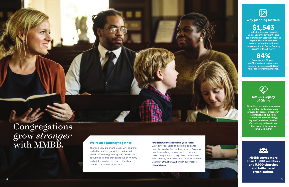#### We're on a journey together.

**SALE** 

There's a very important reason why churches and faith-based organizations partner with MMBB. When clergy and lay staff feel secure about their futures, they can focus on ministry and rejoice in what the church does best: connect the community to God.

#### Financial wellness is within your reach.

That's the average monthly Social Security payment—and it's significantly less than retirees expect. Financial wellness means having the ability to supplement your Social Security benefit without worry.

Every day, your voice and spiritual guidance bring the word of God to those in need. So many people are relying on you—which is why we make it easy for you to rely on us. Learn more about moving forward on your financial journey. Call us at **800.986.6222** or visit our website at mmbb.org.

Why planning matters:

## \$1,543

## Congregations sets that none of those we God suffer. grow *stronger* with MMBB.

### 84%

Over the last 30 years, MMBB members' replacement income has averaged 84% of their pre-retirement income.



#### MMBB's Legacy of Giving

Since 1911, more than a quarter of a billion dollars has been provided in grants, emergency assistance, and subsidies to meet the needs of clergy, lay staff, and their families. Our ministry calls us to see that none of those who



MMBB serves more than 18,000 members and 5,000 churches and faith-based organizations.